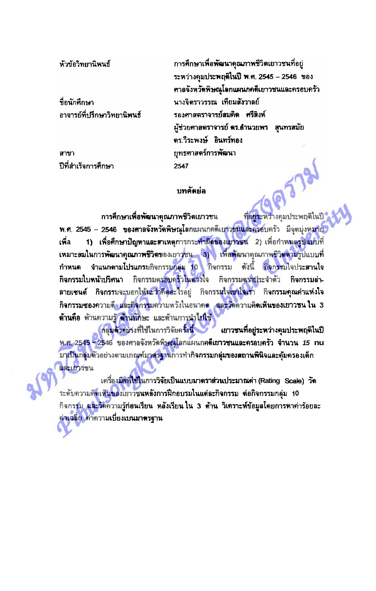หัวข้อวิทยานิพนธ์

ที่อนักศึกษา อาจารย์ทึ่งเรือษาวิทยานิพนธ์

สาขา ปีที่ลำเร็จการศึกษา การศึกษาเพื่อพัฒนาคุณภาพชีวิตเยาวชนที่อยู่ ระหว่างคุมประพฤติในปี พ.ศ. 2545 - 2546 ของ ศาลจังหวัดพิษณุโลกแผนกคดีเยาวชนและครอบครัว นางจิตราวรรณ เทียมสังวาลย์ รองศาสตราจารย์สมคิด ศรีสิงห์ ผู้ช่วยศาสตราจารย์ ดร.อำนวยพร - สุนทรสมัย ดร.วีระพงษ์ อินทร์ทอง ยทธศาสตร์การพัฒนา 2547

## บทคัดย่อ

การศึกษาเพื่อพัฒนาคุณภาพชีวิตเยาวชน ที่อยู่ระหว่างคุมประพฤติในปี พ.ศ. 2545 – 2546 ของศาลจังหวัดพิษณุโลกแผนกคดีเยาวชนและครอบครัว มีจุดมุ่งหมาย 1) เพื่อศึกษาปัญหาและสาเหตุการกระทำผิดของเยาวชน 2)เพื่อกำหนดรูปแบบที่ เพื่อ เหมาะสมในการพัฒนาคุณภาพชีวิตของเยาวชน 3) เพื่อพัฒนาคุณภาพชีวิตตามรูปแบบที่ - กำหนด จำแนกตามโปรแกรมกิจกรรมกลุ่ม 10 กิจกรรม ตังนี้ กิจกรรมใจประสานใจ กิจกรรมใบหน้าปริศนา กิจกรรมครอบครัวในดวงใจ กิจกรรมคราบีระจำตัว กิจกรรมล่า ลายเซนต์ กิจกรรมจะบอกให้นะว่าคิดอะไรอยู่ กิจกรรมใจ<mark>เขาใจเรา</mark> กิจกรรมคุณค่าแห่งใจ ี กิจกรรมซองความด<mark>ึง และกิจกรร</mark>มดวามหวังในอนาคต <mark>และวัติความคิดเห็นของเยาวชน ใน 3</mark> ด้านคือ ตัวนความรู้ ต้านทักษะ และต้านการนำไปใช้

กลุ่มตัวอย่างที่ใช้ในการวิจัยครั้งนี้ เยาวชนที่อยู่ระหว่างคุมประพฤติในปี <u>พ.ศ. 2545 - 2546 ของศาลจังหวัดพิษณุโลกแผนก</u>คดีเยาวชนและครอบครัว จำนวน 15 nu ้ม<mark>าเป็นกลุ่ม</mark>ด้วอย่างตามเกณฑ์ม<mark>าตรฐาน</mark>การทำกิจกรรมกลุ่มขอ<mark>งสถานพินิจและคุ้มครอ</mark>งเด็ก และเยาวชน

เครื่องมือที่ใช้ในการวิจัยเป็นแบบมาตราส่วนประมาณค่า (Rating Scale) วัด ีระดับความคิดเห็นของเยาวชนหลังการฝึกอบรมในแต่ละกิจกรรม ต่อกิจกรรมกลุ่ม 10 ี กิจกรรม และวัดความรู้ก่อนเรียน หลังเรียนใน 3 ด้าน วิเคราะห์ข้อมูลโดยการหาค่าร้อยละ <u>คำเฉลี่ย คำความเบี่ยงเบนมาตรฐาน</u>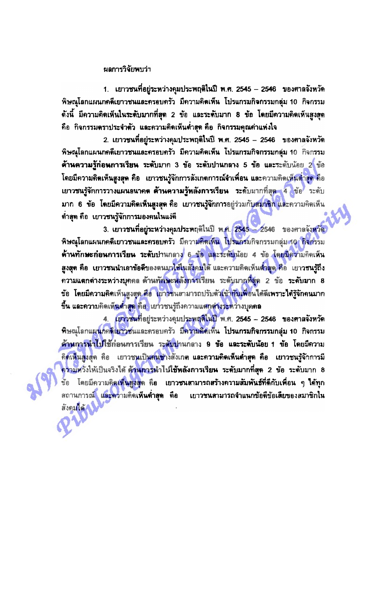## ผลการวิจัยพบว่า

1. เยาวชนที่อยู่ระหว่างคุมประพฤติในปี พ.ศ. 2545 - 2546 ของศาลจังหวัด พิษณุโลกแผนกคดีเยาวชนและครอบครัว มีความคิดเห็น โปรแกรมกิจกรรมกลุ่ม 10 กิจกรรม ์ จังนี้ มีความคิดเห็นในระดับมากที่สุด 2 ข้อ และระดับมาก 8 ข้อ โดยมีความคิดเห็นสูงสุด คือ กิจกรรมตราประจำตัว และความคิดเห็นต่ำสุด คือ กิจกรรมคุณค่าแห่งใจ

2. เยาวชนที่อยู่ระหว่างคุมประพฤติในปี พ.ศ. 2545 – 2546 ของศาลจังหวัด พิษณุโลกแผนกคดีเยาวชนและครอบครัว มีความคิดเห็น โปรแกรมกิจกรรมกลุ่ม 10 กิจกรรม ด้านความรู้ก่อนการเรียน ระดับมาก 3 ข้อ ระดับปานกลาง 5 ข้อ และระดับน้อย 2 ข้อ โดยมีความคิดเห็นสูงสุด คือ เยาวชนรู้จักการสังเกตการณ์จำเพื่อน และความคิดเห็นต่ำ<mark>สุด</mark> คือ เยาวชนรู้จักการวางแผนอนาคต ด้านความรู้หลังการเรียน ระดับมากที่สุด 4 ข้อ ระดับ มาก 6 ข้อ โดยมีความคิดเห็นสูงสุด คือ เยาวชนรู้จักการอยู่ร่วมกับสมาชิกและความคิดเห็น ตำสุด คือ เยาวชนรู้จักการมองคนในแง่ดี

3. เยาวชนที่อยู่ระหว่างคุมประพฤติในปี พ.ศ. 2545 - 2546 ของศาลจังหวัด พิษณุโลกแผนกคดีเยาวชนและครอบครัว มีความคิดเห็น โปรแกรมกิจกรรมกลุ่ม 10 กิจกรรม ด้านทักษะก่อนการเรียน ระดับปานกลาง 6 ข้อ และระดับน้อย 4 ข้อ โดยมีความคิดเห็น สูงสุด คือ เยาวชนนำเอาข้อดีของตนมาไซ้ในสังคมใต้ และความคิดเห็นต่ำสุด คือ เยาวชนรู้ถึง ์ ความแตกต่างระหว่างบุคคล ด้านทักษะหลังการเรียน ระดับมากที่สุด 2 ข้อ ระดับมาก 8 ข้อ โดยมีความคิดเห็นสูงสุด คือ เยาวชนสามารถปรับตัวเข้า<mark>กับเพื่อนได้ดีเพราะได้รู้จักคนมาก</mark> ขึ้น และความคิดเห็**นดำสูด** คือ "เยาวชนรู้ถึงความแตกต่างระหว่างบุคคล

4. เยาวชนที่อยู่ระหว่างคุมประพฤติในปี พ.ศ. 2545 - 2546 ของศาลจังหวัด พิษณุโลกแผนกคลีเยาวชนและครอบครัว มีความคิดเห็น โปรแกรมกิจกรรมกลุ่ม 10 กิจกรรม <u>ด้านการนำไปใช้ก่อนการเรียน ระดับป</u>านกลาง 9 ข้อ และระดับน้อย 1 ข้อ โดยมีความ กิดเห็นสูงสุด คือ เยาวชนเป็นคนช่างสังเกต และความคิดเห็นต่ำสุด คือ เยาวชนรู้จักการมี ์ ความหวังให้เป็นจริงได้ **ด้านการนำไปใช้หลังการเรียน ระดับมากที่สุด 2 ข้อ ระดับม**าก 8 ข้อ โดยมีความคิดเห็นสูงสุด คือ เยาวชนสามารถสร้างความสัมพันธ์ที่ดีกับเพื่อน ๆ **ใ**ต้ทุก สถานการณ์ และความคิดเห็นต่ำสุด คือ เยาวชนสามารถจำแนกข้อดีข้อเสียของสมาชิกใน สังคมได้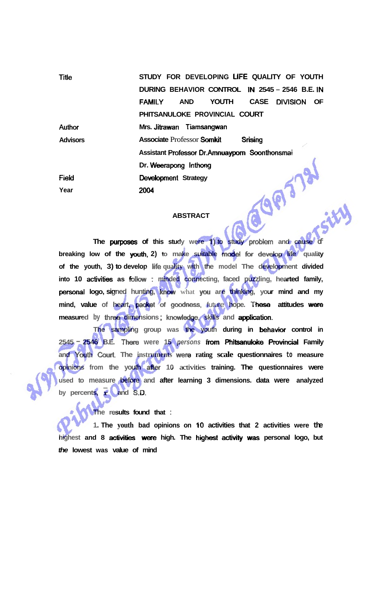| Title           | STUDY FOR DEVELOPING LIFE QUALITY OF YOUTH               |
|-----------------|----------------------------------------------------------|
|                 | DURING BEHAVIOR CONTROL IN 2545 - 2546 B.E. IN           |
|                 | CASE DIVISION OF<br><b>FAMILY</b><br><b>YOUTH</b><br>AND |
|                 | PHITSANULOKE PROVINCIAL COURT                            |
| <b>Author</b>   | Mrs. Jitrawan Tiamsangwan                                |
| <b>Advisors</b> | <b>Associate Professor Somkit</b><br>Srising             |
|                 | Assistant Professor Dr.Amnuayporn Soonthonsmai           |
|                 | Dr. Weerapong Inthong                                    |
| Field           | Development Strategy                                     |
| Year            | 2004                                                     |

## **ABSTRACT**

**The purposes of this study were 1) to study problem and cause breaking low of the youth, 2) to make suitable model for develop life quality of the youth, 3) to develop life quality with the model The development divided**  into 10 activities as follow : minded connecting, faced puzzling, hearted family, **personal logo, signed hunting, know** what you are thinking, your mind and my **mind, value of heart, packet of goodness, future hope. These attitudes were measured** by **three dimensions**; knowledge, skills and application.

**The sampling group was the youth during in behavior control in 2545** - **2546** B.E. There were 15 persons from Phitsanuloke Provincial Family **and Youth Cwrt The instruments** wem **rating scale questionnaires to measure opinions from the youth afier 10** activities **training. The questionnaires were used to measure before and after learning 3 dimensions. data were analyzed**  by percents, x and S.D.

**The results found that** :

**1. The youth bad opinions on 10 activities that 2 activities were the**  highest and 8 activities were high. The highest activity was personal logo, but **the lowest was value of mind**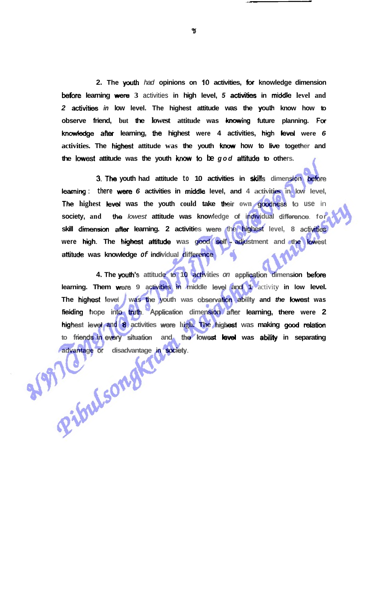**2. The youth** had **opinions on 10 activities, br knowledge dimension More learning** were **3** activities **in high level, 5 activities in middle level and 2 activities** in low level. The highest attitude was the youth know how to **observe friend, but the lowest attitude was knowing future planning. Fw knowledge ak learning, the highest were 4 activities, high** level **were 6**  activities. The highest attitude was the youth know how to live together and **the lowest attitude was the youth** *know* **to be god athtude to others.** 

**3. The youth had attitude to 10 activities in skills dimension before learning**: there were 6 activities in middle level, and 4 activities in low level, **The highest level was the youth could take their own goodness to use in society, and tlre** lowest **attitude was knowledge of individual difference. for skill dimension after learning. 2 activities** wem the **highest level, 8** activitiss **were high. The highest attitude was good self** - **adjustment and the lowet attitude was knowledge of individual difference** 

**4. The ywth's attitude to 10 activities on application dimension** before **learning. Them were 9 activities in middle level and 1 activity in low level. The highest level was the youth was observation ability and** *the lowest* **was** fielding hope into truth. Application dimension after learning, there were 2 **highest level and 8 activities were high. The highest was making good relation** to friends in every situation and the lowest level was ability in separating **advantage or disadvantage in society.** 

 $\mathbf{B}$